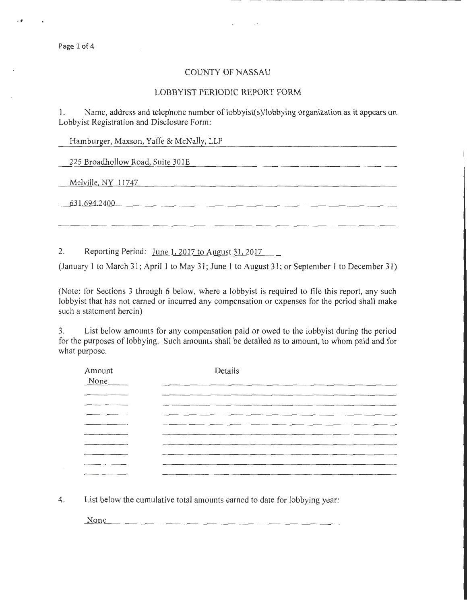Page 1 of 4

••

## COUNTY OF NASSAU

 $\sim$   $\sim$ 

## LOBBYIST PERIODIC REPORT FORM

1. Name, address and telephone number of lobbyist(s)/lobbying organization as it appears on Lobbyist Registration and Disclosure Form:

Hamburger, Maxson, Yaffe & McNally, LLP

225 Broadhollow Road, Suite 301E

Melville, NY 11747

631 694 2400

2. Reporting Period: June 1, 2017 to August 31, 2017

(January 1 to March 31; April 1 to May 31; June 1 to August 31; or September 1 to December 31)

(Note: for Sections 3 through 6 below, where a lobbyist is required to file this report, any such lobbyist that has not earned or incurred any compensation or expenses for the period shall make such a statement herein)

3. List below amounts for any compensation paid or owed to the lobbyist during the period for the purposes of lobbying. Such amounts shall be detailed as to amount, to whom paid and for what purpose.

| Amount<br>None | Details |
|----------------|---------|
| ______         |         |
|                |         |
|                |         |
| _____          |         |
|                |         |
|                |         |
| ________       |         |
|                |         |
|                |         |

4. List below the cumulative total amounts earned to date for lobbying year:

None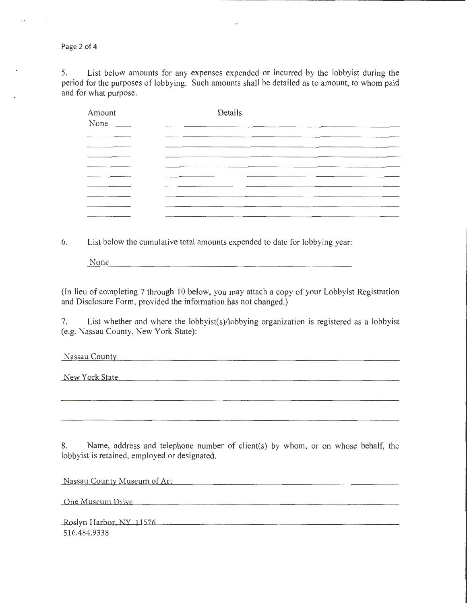Page 2 of 4

5. List below amounts for any expenses expended or incurred by the lobbyist during the period for the purposes of lobbying. Such amounts shall be detailed as to amount, to whom paid and for what purpose.

| Amount<br>None | Details |
|----------------|---------|
|                |         |
|                |         |
|                |         |
|                |         |
|                |         |
|                |         |

6. List below the cumulative total amounts expended to date for lobbying year:

None <u> 2000 - Jan Barbara Barat, Amerikaansk politiker (</u>

(In lieu of completing 7 through 10 below, you may attach a copy of your Lobbyist Registration and Disclosure Form, provided the information has not changed.)

7. List whether and where the lobbyist(s)/lobbying organization is registered as a lobbyist (e.g. Nassau County, New York State):

Nassau County

New York State

8. Name, address and telephone number of client(s) by whom, or on whose behalf, the lobbyist is retained, employed or designated.

Nassau County Museum of Art

One Museum Drive

Roslyn Harbor, NY 11576 516.484.9338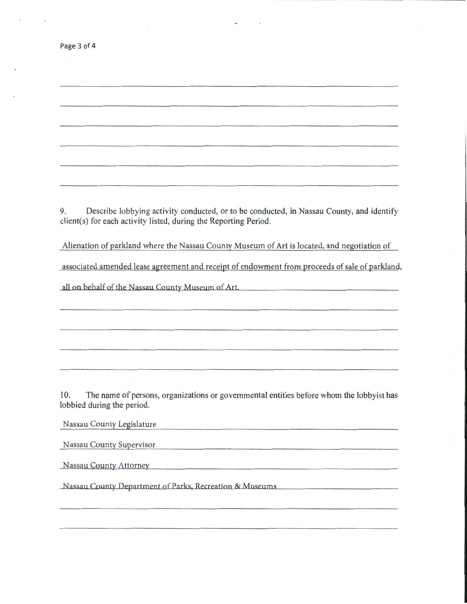| Page 3 of 4 |  |  |  |
|-------------|--|--|--|
|-------------|--|--|--|

9. Describe lobbying activity conducted, or to be conducted, in Nassau County, and identify client(s) for each activity listed, during the Reporting Period.

Alienation of parkland where the Nassau County Museum of Art is located, and negotiation of

associated amended lease agreement and receipt of endowment from proceeds of sale of parkland,

all on behalf of the Nassau County Museum of Art

10. The name of persons, organizations or governmental entities before whom the lobbyist has lobbied during the period.

<u> 1980 - John Harry Harry Harry Harry Harry Harry Harry Harry Harry Harry Harry Harry Harry Harry Harry Harry H</u>

Nassau County Legislature

Nassau County Supervisor

Nassau County Attorney

Nassau County Department of Parks, Recreation & Museums